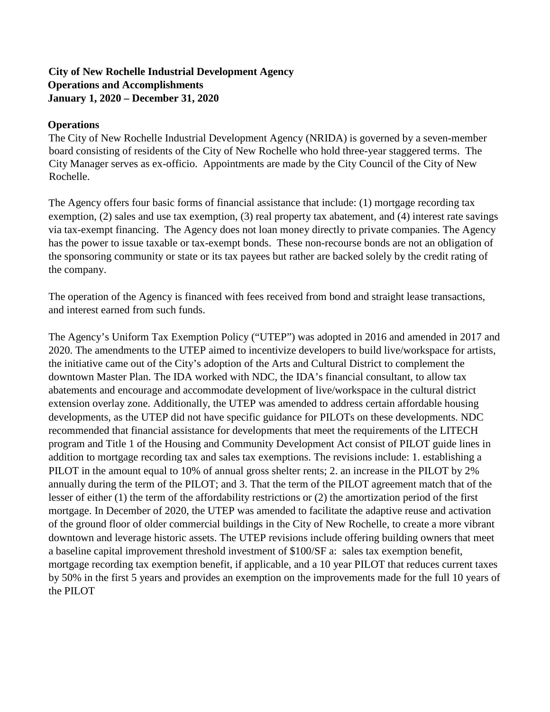### **City of New Rochelle Industrial Development Agency Operations and Accomplishments January 1, 2020 – December 31, 2020**

#### **Operations**

The City of New Rochelle Industrial Development Agency (NRIDA) is governed by a seven-member board consisting of residents of the City of New Rochelle who hold three-year staggered terms. The City Manager serves as ex-officio. Appointments are made by the City Council of the City of New Rochelle.

The Agency offers four basic forms of financial assistance that include: (1) mortgage recording tax exemption, (2) sales and use tax exemption, (3) real property tax abatement, and (4) interest rate savings via tax-exempt financing. The Agency does not loan money directly to private companies. The Agency has the power to issue taxable or tax-exempt bonds. These non-recourse bonds are not an obligation of the sponsoring community or state or its tax payees but rather are backed solely by the credit rating of the company.

The operation of the Agency is financed with fees received from bond and straight lease transactions, and interest earned from such funds.

The Agency's Uniform Tax Exemption Policy ("UTEP") was adopted in 2016 and amended in 2017 and 2020. The amendments to the UTEP aimed to incentivize developers to build live/workspace for artists, the initiative came out of the City's adoption of the Arts and Cultural District to complement the downtown Master Plan. The IDA worked with NDC, the IDA's financial consultant, to allow tax abatements and encourage and accommodate development of live/workspace in the cultural district extension overlay zone. Additionally, the UTEP was amended to address certain affordable housing developments, as the UTEP did not have specific guidance for PILOTs on these developments. NDC recommended that financial assistance for developments that meet the requirements of the LITECH program and Title 1 of the Housing and Community Development Act consist of PILOT guide lines in addition to mortgage recording tax and sales tax exemptions. The revisions include: 1. establishing a PILOT in the amount equal to 10% of annual gross shelter rents; 2. an increase in the PILOT by 2% annually during the term of the PILOT; and 3. That the term of the PILOT agreement match that of the lesser of either (1) the term of the affordability restrictions or (2) the amortization period of the first mortgage. In December of 2020, the UTEP was amended to facilitate the adaptive reuse and activation of the ground floor of older commercial buildings in the City of New Rochelle, to create a more vibrant downtown and leverage historic assets. The UTEP revisions include offering building owners that meet a baseline capital improvement threshold investment of \$100/SF a: sales tax exemption benefit, mortgage recording tax exemption benefit, if applicable, and a 10 year PILOT that reduces current taxes by 50% in the first 5 years and provides an exemption on the improvements made for the full 10 years of the PILOT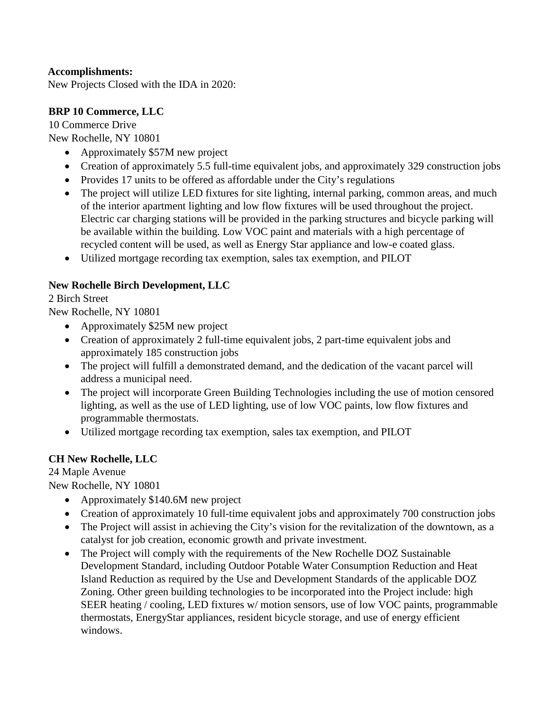### **Accomplishments:**

New Projects Closed with the IDA in 2020:

## **BRP 10 Commerce, LLC**

10 Commerce Drive New Rochelle, NY 10801

- Approximately \$57M new project
- Creation of approximately 5.5 full-time equivalent jobs, and approximately 329 construction jobs
- Provides 17 units to be offered as affordable under the City's regulations
- The project will utilize LED fixtures for site lighting, internal parking, common areas, and much of the interior apartment lighting and low flow fixtures will be used throughout the project. Electric car charging stations will be provided in the parking structures and bicycle parking will be available within the building. Low VOC paint and materials with a high percentage of recycled content will be used, as well as Energy Star appliance and low-e coated glass.
- Utilized mortgage recording tax exemption, sales tax exemption, and PILOT

### **New Rochelle Birch Development, LLC**

#### 2 Birch Street

New Rochelle, NY 10801

- Approximately \$25M new project
- Creation of approximately 2 full-time equivalent jobs, 2 part-time equivalent jobs and approximately 185 construction jobs
- The project will fulfill a demonstrated demand, and the dedication of the vacant parcel will address a municipal need.
- The project will incorporate Green Building Technologies including the use of motion censored lighting, as well as the use of LED lighting, use of low VOC paints, low flow fixtures and programmable thermostats.
- Utilized mortgage recording tax exemption, sales tax exemption, and PILOT

## **CH New Rochelle, LLC**

24 Maple Avenue

New Rochelle, NY 10801

- Approximately \$140.6M new project
- Creation of approximately 10 full-time equivalent jobs and approximately 700 construction jobs
- The Project will assist in achieving the City's vision for the revitalization of the downtown, as a catalyst for job creation, economic growth and private investment.
- The Project will comply with the requirements of the New Rochelle DOZ Sustainable Development Standard, including Outdoor Potable Water Consumption Reduction and Heat Island Reduction as required by the Use and Development Standards of the applicable DOZ Zoning. Other green building technologies to be incorporated into the Project include: high SEER heating / cooling, LED fixtures w/ motion sensors, use of low VOC paints, programmable thermostats, EnergyStar appliances, resident bicycle storage, and use of energy efficient windows.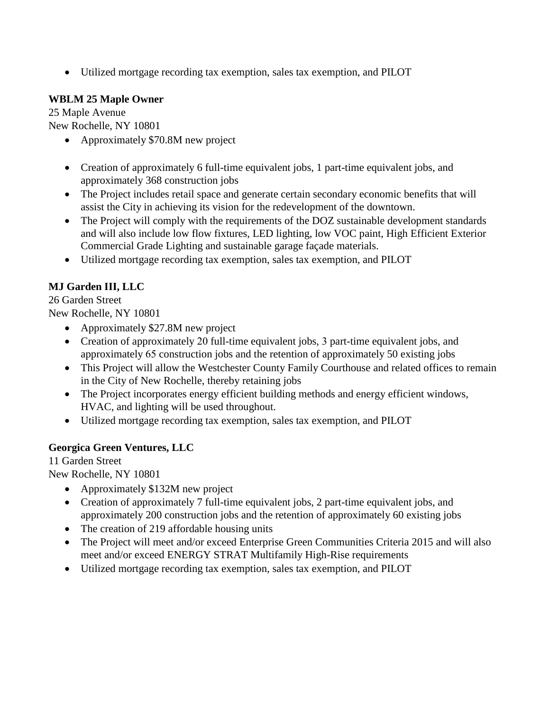• Utilized mortgage recording tax exemption, sales tax exemption, and PILOT

## **WBLM 25 Maple Owner**

25 Maple Avenue New Rochelle, NY 10801

- Approximately \$70.8M new project
- Creation of approximately 6 full-time equivalent jobs, 1 part-time equivalent jobs, and approximately 368 construction jobs
- The Project includes retail space and generate certain secondary economic benefits that will assist the City in achieving its vision for the redevelopment of the downtown.
- The Project will comply with the requirements of the DOZ sustainable development standards and will also include low flow fixtures, LED lighting, low VOC paint, High Efficient Exterior Commercial Grade Lighting and sustainable garage façade materials.
- Utilized mortgage recording tax exemption, sales tax exemption, and PILOT

# **MJ Garden III, LLC**

26 Garden Street

New Rochelle, NY 10801

- Approximately \$27.8M new project
- Creation of approximately 20 full-time equivalent jobs, 3 part-time equivalent jobs, and approximately 65 construction jobs and the retention of approximately 50 existing jobs
- This Project will allow the Westchester County Family Courthouse and related offices to remain in the City of New Rochelle, thereby retaining jobs
- The Project incorporates energy efficient building methods and energy efficient windows, HVAC, and lighting will be used throughout.
- Utilized mortgage recording tax exemption, sales tax exemption, and PILOT

# **Georgica Green Ventures, LLC**

11 Garden Street

New Rochelle, NY 10801

- Approximately \$132M new project
- Creation of approximately 7 full-time equivalent jobs, 2 part-time equivalent jobs, and approximately 200 construction jobs and the retention of approximately 60 existing jobs
- The creation of 219 affordable housing units
- The Project will meet and/or exceed Enterprise Green Communities Criteria 2015 and will also meet and/or exceed ENERGY STRAT Multifamily High-Rise requirements
- Utilized mortgage recording tax exemption, sales tax exemption, and PILOT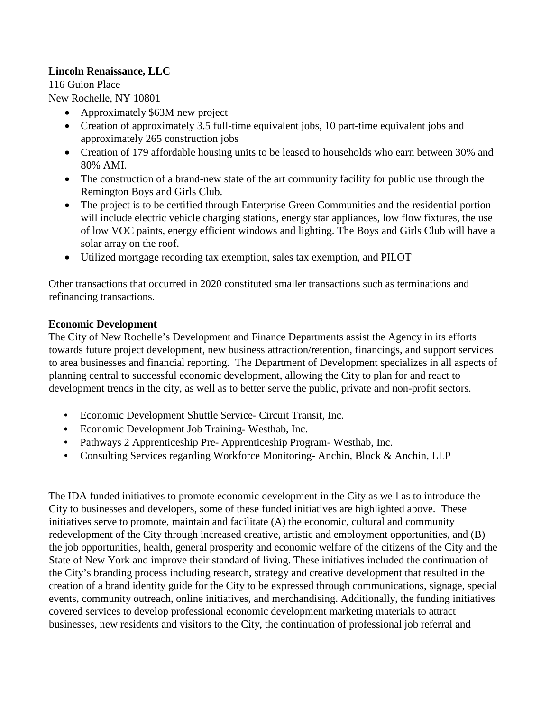### **Lincoln Renaissance, LLC**

116 Guion Place

New Rochelle, NY 10801

- Approximately \$63M new project
- Creation of approximately 3.5 full-time equivalent jobs, 10 part-time equivalent jobs and approximately 265 construction jobs
- Creation of 179 affordable housing units to be leased to households who earn between 30% and 80% AMI.
- The construction of a brand-new state of the art community facility for public use through the Remington Boys and Girls Club.
- The project is to be certified through Enterprise Green Communities and the residential portion will include electric vehicle charging stations, energy star appliances, low flow fixtures, the use of low VOC paints, energy efficient windows and lighting. The Boys and Girls Club will have a solar array on the roof.
- Utilized mortgage recording tax exemption, sales tax exemption, and PILOT

Other transactions that occurred in 2020 constituted smaller transactions such as terminations and refinancing transactions.

#### **Economic Development**

The City of New Rochelle's Development and Finance Departments assist the Agency in its efforts towards future project development, new business attraction/retention, financings, and support services to area businesses and financial reporting. The Department of Development specializes in all aspects of planning central to successful economic development, allowing the City to plan for and react to development trends in the city, as well as to better serve the public, private and non-profit sectors.

- Economic Development Shuttle Service- Circuit Transit, Inc.
- Economic Development Job Training- Westhab, Inc.
- Pathways 2 Apprenticeship Pre- Apprenticeship Program- Westhab, Inc.
- Consulting Services regarding Workforce Monitoring-Anchin, Block & Anchin, LLP

The IDA funded initiatives to promote economic development in the City as well as to introduce the City to businesses and developers, some of these funded initiatives are highlighted above. These initiatives serve to promote, maintain and facilitate (A) the economic, cultural and community redevelopment of the City through increased creative, artistic and employment opportunities, and (B) the job opportunities, health, general prosperity and economic welfare of the citizens of the City and the State of New York and improve their standard of living. These initiatives included the continuation of the City's branding process including research, strategy and creative development that resulted in the creation of a brand identity guide for the City to be expressed through communications, signage, special events, community outreach, online initiatives, and merchandising. Additionally, the funding initiatives covered services to develop professional economic development marketing materials to attract businesses, new residents and visitors to the City, the continuation of professional job referral and